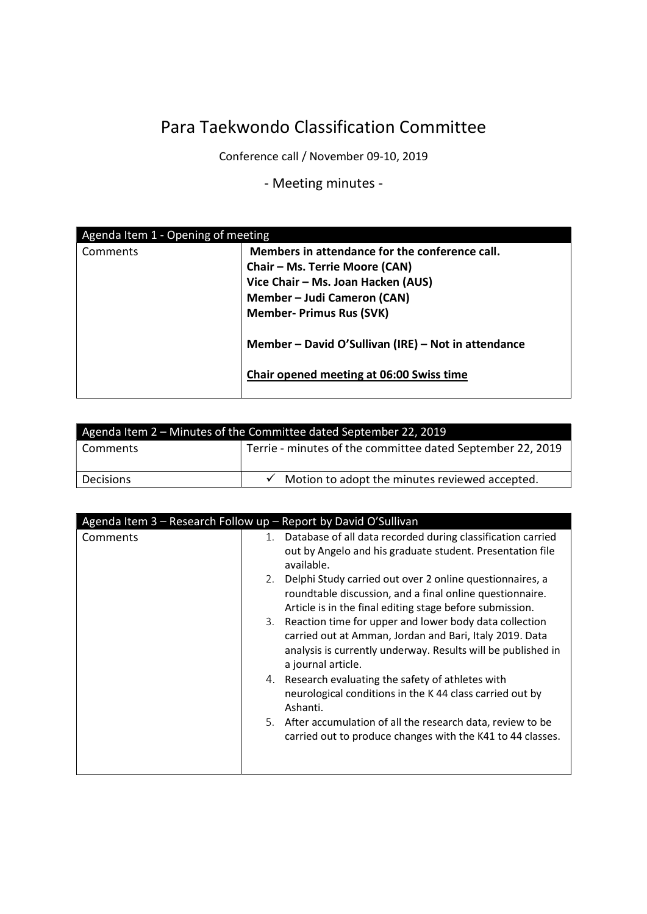## Para Taekwondo Classification Committee

Conference call / November 09-10, 2019

- Meeting minutes -

| Agenda Item 1 - Opening of meeting |                                                     |  |
|------------------------------------|-----------------------------------------------------|--|
| Comments                           | Members in attendance for the conference call.      |  |
|                                    | Chair - Ms. Terrie Moore (CAN)                      |  |
|                                    | Vice Chair - Ms. Joan Hacken (AUS)                  |  |
|                                    | Member - Judi Cameron (CAN)                         |  |
|                                    | <b>Member- Primus Rus (SVK)</b>                     |  |
|                                    | Member - David O'Sullivan (IRE) - Not in attendance |  |
|                                    | Chair opened meeting at 06:00 Swiss time            |  |

| Agenda Item 2 - Minutes of the Committee dated September 22, 2019 |                                                            |  |
|-------------------------------------------------------------------|------------------------------------------------------------|--|
| Comments                                                          | Terrie - minutes of the committee dated September 22, 2019 |  |
|                                                                   |                                                            |  |
| Decisions                                                         | Motion to adopt the minutes reviewed accepted.             |  |

|          | Agenda Item 3 - Research Follow up - Report by David O'Sullivan                                                                                                                                                                                                                                                                                                                                                                                                                                                                                                                                                                                                                                                                                                                                                  |
|----------|------------------------------------------------------------------------------------------------------------------------------------------------------------------------------------------------------------------------------------------------------------------------------------------------------------------------------------------------------------------------------------------------------------------------------------------------------------------------------------------------------------------------------------------------------------------------------------------------------------------------------------------------------------------------------------------------------------------------------------------------------------------------------------------------------------------|
| Comments | Database of all data recorded during classification carried<br>1.<br>out by Angelo and his graduate student. Presentation file<br>available.<br>Delphi Study carried out over 2 online questionnaires, a<br>2.<br>roundtable discussion, and a final online questionnaire.<br>Article is in the final editing stage before submission.<br>3. Reaction time for upper and lower body data collection<br>carried out at Amman, Jordan and Bari, Italy 2019. Data<br>analysis is currently underway. Results will be published in<br>a journal article.<br>4. Research evaluating the safety of athletes with<br>neurological conditions in the K 44 class carried out by<br>Ashanti.<br>5. After accumulation of all the research data, review to be<br>carried out to produce changes with the K41 to 44 classes. |
|          |                                                                                                                                                                                                                                                                                                                                                                                                                                                                                                                                                                                                                                                                                                                                                                                                                  |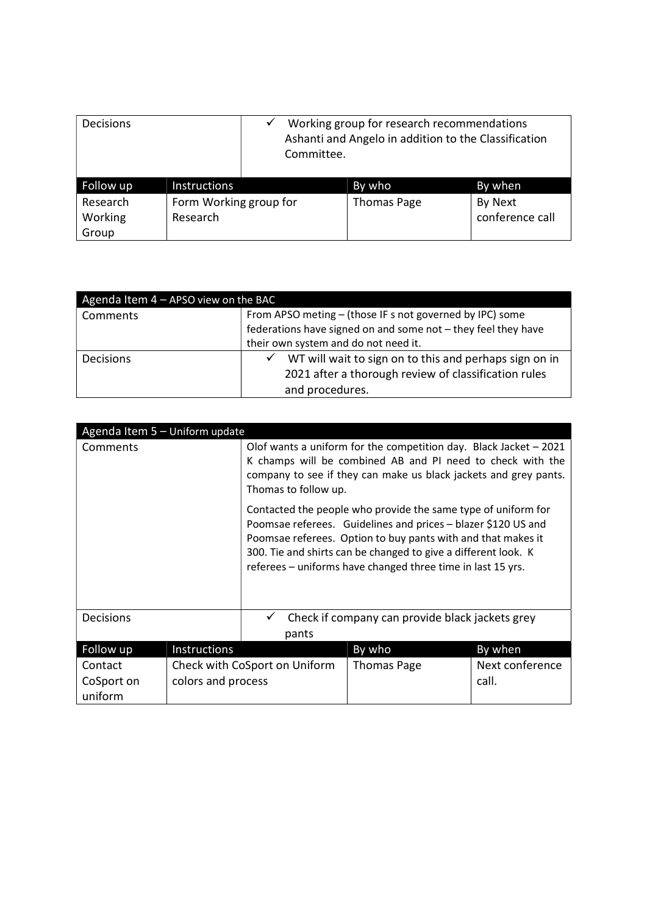| <b>Decisions</b> |                        | Committee. | Working group for research recommendations<br>Ashanti and Angelo in addition to the Classification |                 |
|------------------|------------------------|------------|----------------------------------------------------------------------------------------------------|-----------------|
| Follow up        | Instructions           |            | By who                                                                                             | By when         |
| Research         | Form Working group for |            | <b>Thomas Page</b>                                                                                 | By Next         |
| Working          | Research               |            |                                                                                                    | conference call |
| Group            |                        |            |                                                                                                    |                 |

| Agenda Item $4 -$ APSO view on the BAC |                                                               |  |  |
|----------------------------------------|---------------------------------------------------------------|--|--|
| Comments                               | From APSO meting - (those IF s not governed by IPC) some      |  |  |
|                                        | federations have signed on and some not - they feel they have |  |  |
|                                        | their own system and do not need it.                          |  |  |
| <b>Decisions</b>                       | WT will wait to sign on to this and perhaps sign on in        |  |  |
|                                        | 2021 after a thorough review of classification rules          |  |  |
|                                        | and procedures.                                               |  |  |

| Agenda Item 5 - Uniform update   |                    |                                                                                                                                                                                                                              |                                                                                                                                                                                                                                                                                                                                 |                          |
|----------------------------------|--------------------|------------------------------------------------------------------------------------------------------------------------------------------------------------------------------------------------------------------------------|---------------------------------------------------------------------------------------------------------------------------------------------------------------------------------------------------------------------------------------------------------------------------------------------------------------------------------|--------------------------|
| Comments                         |                    | Olof wants a uniform for the competition day. Black Jacket $-2021$<br>K champs will be combined AB and PI need to check with the<br>company to see if they can make us black jackets and grey pants.<br>Thomas to follow up. |                                                                                                                                                                                                                                                                                                                                 |                          |
|                                  |                    |                                                                                                                                                                                                                              | Contacted the people who provide the same type of uniform for<br>Poomsae referees. Guidelines and prices – blazer \$120 US and<br>Poomsae referees. Option to buy pants with and that makes it<br>300. Tie and shirts can be changed to give a different look. K<br>referees - uniforms have changed three time in last 15 yrs. |                          |
| Decisions                        |                    | pants                                                                                                                                                                                                                        | Check if company can provide black jackets grey                                                                                                                                                                                                                                                                                 |                          |
| Follow up                        | Instructions       |                                                                                                                                                                                                                              | By who                                                                                                                                                                                                                                                                                                                          | By when                  |
| Contact<br>CoSport on<br>uniform | colors and process | Check with CoSport on Uniform                                                                                                                                                                                                | <b>Thomas Page</b>                                                                                                                                                                                                                                                                                                              | Next conference<br>call. |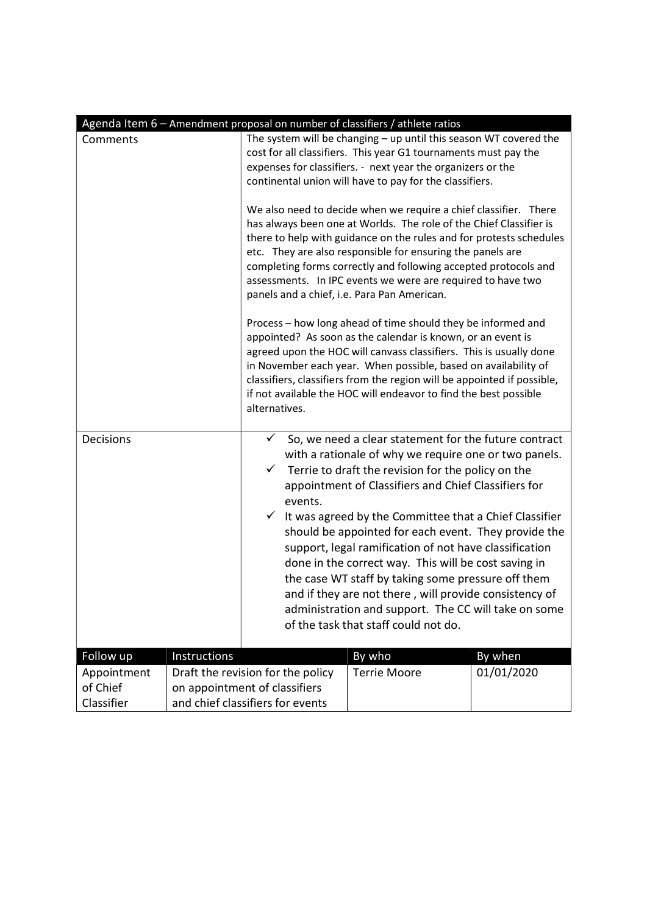|                                                                                                                                                                                                                                                                                                                                                                                                                                                              |                                   |                                                                                                                                                                                                                                                                                                                                                                                                                                                                          | Agenda Item 6 - Amendment proposal on number of classifiers / athlete ratios                                                                                                                                                                                                                                                                                                                                       |            |
|--------------------------------------------------------------------------------------------------------------------------------------------------------------------------------------------------------------------------------------------------------------------------------------------------------------------------------------------------------------------------------------------------------------------------------------------------------------|-----------------------------------|--------------------------------------------------------------------------------------------------------------------------------------------------------------------------------------------------------------------------------------------------------------------------------------------------------------------------------------------------------------------------------------------------------------------------------------------------------------------------|--------------------------------------------------------------------------------------------------------------------------------------------------------------------------------------------------------------------------------------------------------------------------------------------------------------------------------------------------------------------------------------------------------------------|------------|
| Comments                                                                                                                                                                                                                                                                                                                                                                                                                                                     |                                   | The system will be changing $-$ up until this season WT covered the<br>cost for all classifiers. This year G1 tournaments must pay the<br>expenses for classifiers. - next year the organizers or the<br>continental union will have to pay for the classifiers.                                                                                                                                                                                                         |                                                                                                                                                                                                                                                                                                                                                                                                                    |            |
| We also need to decide when we require a chief classifier. There<br>has always been one at Worlds. The role of the Chief Classifier is<br>there to help with guidance on the rules and for protests schedules<br>etc. They are also responsible for ensuring the panels are<br>completing forms correctly and following accepted protocols and<br>assessments. In IPC events we were are required to have two<br>panels and a chief, i.e. Para Pan American. |                                   |                                                                                                                                                                                                                                                                                                                                                                                                                                                                          |                                                                                                                                                                                                                                                                                                                                                                                                                    |            |
|                                                                                                                                                                                                                                                                                                                                                                                                                                                              |                                   | alternatives.                                                                                                                                                                                                                                                                                                                                                                                                                                                            | Process - how long ahead of time should they be informed and<br>appointed? As soon as the calendar is known, or an event is<br>agreed upon the HOC will canvass classifiers. This is usually done<br>in November each year. When possible, based on availability of<br>classifiers, classifiers from the region will be appointed if possible,<br>if not available the HOC will endeavor to find the best possible |            |
| Decisions                                                                                                                                                                                                                                                                                                                                                                                                                                                    |                                   | ✓<br>✓                                                                                                                                                                                                                                                                                                                                                                                                                                                                   | So, we need a clear statement for the future contract<br>with a rationale of why we require one or two panels.<br>Terrie to draft the revision for the policy on the<br>appointment of Classifiers and Chief Classifiers for                                                                                                                                                                                       |            |
|                                                                                                                                                                                                                                                                                                                                                                                                                                                              |                                   | events.<br>$\checkmark$ It was agreed by the Committee that a Chief Classifier<br>should be appointed for each event. They provide the<br>support, legal ramification of not have classification<br>done in the correct way. This will be cost saving in<br>the case WT staff by taking some pressure off them<br>and if they are not there, will provide consistency of<br>administration and support. The CC will take on some<br>of the task that staff could not do. |                                                                                                                                                                                                                                                                                                                                                                                                                    |            |
| Follow up                                                                                                                                                                                                                                                                                                                                                                                                                                                    | Instructions                      |                                                                                                                                                                                                                                                                                                                                                                                                                                                                          | By who                                                                                                                                                                                                                                                                                                                                                                                                             | By when    |
| Appointment                                                                                                                                                                                                                                                                                                                                                                                                                                                  | Draft the revision for the policy |                                                                                                                                                                                                                                                                                                                                                                                                                                                                          | <b>Terrie Moore</b>                                                                                                                                                                                                                                                                                                                                                                                                | 01/01/2020 |
| of Chief                                                                                                                                                                                                                                                                                                                                                                                                                                                     | on appointment of classifiers     |                                                                                                                                                                                                                                                                                                                                                                                                                                                                          |                                                                                                                                                                                                                                                                                                                                                                                                                    |            |
| Classifier                                                                                                                                                                                                                                                                                                                                                                                                                                                   | and chief classifiers for events  |                                                                                                                                                                                                                                                                                                                                                                                                                                                                          |                                                                                                                                                                                                                                                                                                                                                                                                                    |            |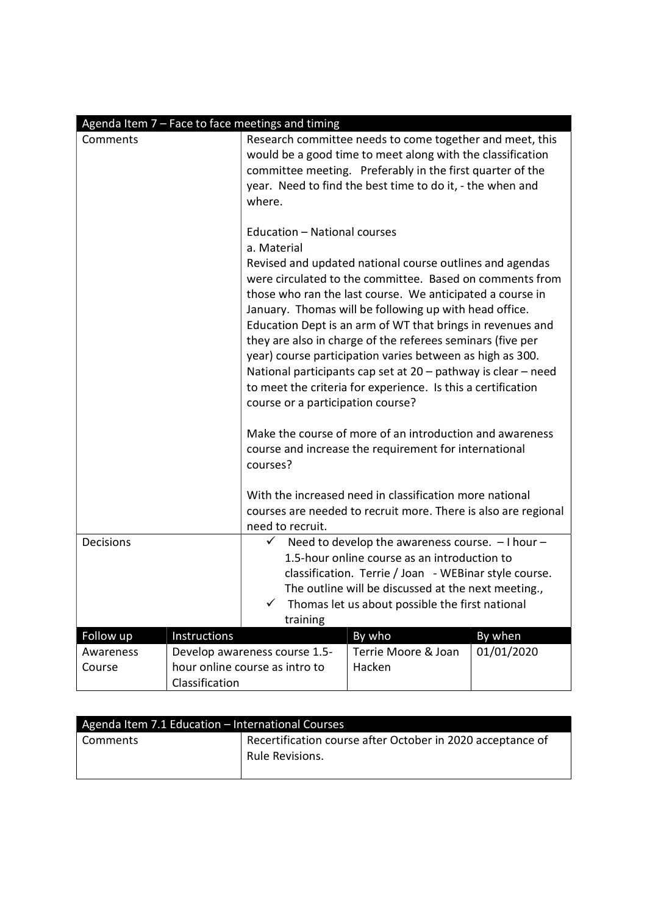|                                                                                                                                                                                                                                                                                                                     |                                | Agenda Item 7 - Face to face meetings and timing                                 |                                                                                                                                                                                                                                                                                                                                                                                                                                                                                                                                                                                                                                   |            |
|---------------------------------------------------------------------------------------------------------------------------------------------------------------------------------------------------------------------------------------------------------------------------------------------------------------------|--------------------------------|----------------------------------------------------------------------------------|-----------------------------------------------------------------------------------------------------------------------------------------------------------------------------------------------------------------------------------------------------------------------------------------------------------------------------------------------------------------------------------------------------------------------------------------------------------------------------------------------------------------------------------------------------------------------------------------------------------------------------------|------------|
| Comments                                                                                                                                                                                                                                                                                                            |                                | where.                                                                           | Research committee needs to come together and meet, this<br>would be a good time to meet along with the classification<br>committee meeting. Preferably in the first quarter of the<br>year. Need to find the best time to do it, - the when and                                                                                                                                                                                                                                                                                                                                                                                  |            |
|                                                                                                                                                                                                                                                                                                                     |                                | Education - National courses<br>a. Material<br>course or a participation course? | Revised and updated national course outlines and agendas<br>were circulated to the committee. Based on comments from<br>those who ran the last course. We anticipated a course in<br>January. Thomas will be following up with head office.<br>Education Dept is an arm of WT that brings in revenues and<br>they are also in charge of the referees seminars (five per<br>year) course participation varies between as high as 300.<br>National participants cap set at 20 - pathway is clear - need<br>to meet the criteria for experience. Is this a certification<br>Make the course of more of an introduction and awareness |            |
|                                                                                                                                                                                                                                                                                                                     |                                | courses?                                                                         | course and increase the requirement for international                                                                                                                                                                                                                                                                                                                                                                                                                                                                                                                                                                             |            |
|                                                                                                                                                                                                                                                                                                                     |                                | need to recruit.                                                                 | With the increased need in classification more national<br>courses are needed to recruit more. There is also are regional                                                                                                                                                                                                                                                                                                                                                                                                                                                                                                         |            |
| Need to develop the awareness course. - I hour -<br><b>Decisions</b><br>$\checkmark$<br>1.5-hour online course as an introduction to<br>classification. Terrie / Joan - WEBinar style course.<br>The outline will be discussed at the next meeting.,<br>Thomas let us about possible the first national<br>training |                                |                                                                                  |                                                                                                                                                                                                                                                                                                                                                                                                                                                                                                                                                                                                                                   |            |
| Follow up                                                                                                                                                                                                                                                                                                           | Instructions                   |                                                                                  | By who                                                                                                                                                                                                                                                                                                                                                                                                                                                                                                                                                                                                                            | By when    |
| Awareness                                                                                                                                                                                                                                                                                                           |                                | Develop awareness course 1.5-                                                    | Terrie Moore & Joan                                                                                                                                                                                                                                                                                                                                                                                                                                                                                                                                                                                                               | 01/01/2020 |
| Course                                                                                                                                                                                                                                                                                                              | hour online course as intro to |                                                                                  | Hacken                                                                                                                                                                                                                                                                                                                                                                                                                                                                                                                                                                                                                            |            |
|                                                                                                                                                                                                                                                                                                                     | Classification                 |                                                                                  |                                                                                                                                                                                                                                                                                                                                                                                                                                                                                                                                                                                                                                   |            |

| Agenda Item 7.1 Education - International Courses |                                                                               |  |
|---------------------------------------------------|-------------------------------------------------------------------------------|--|
| <b>Comments</b>                                   | Recertification course after October in 2020 acceptance of<br>Rule Revisions. |  |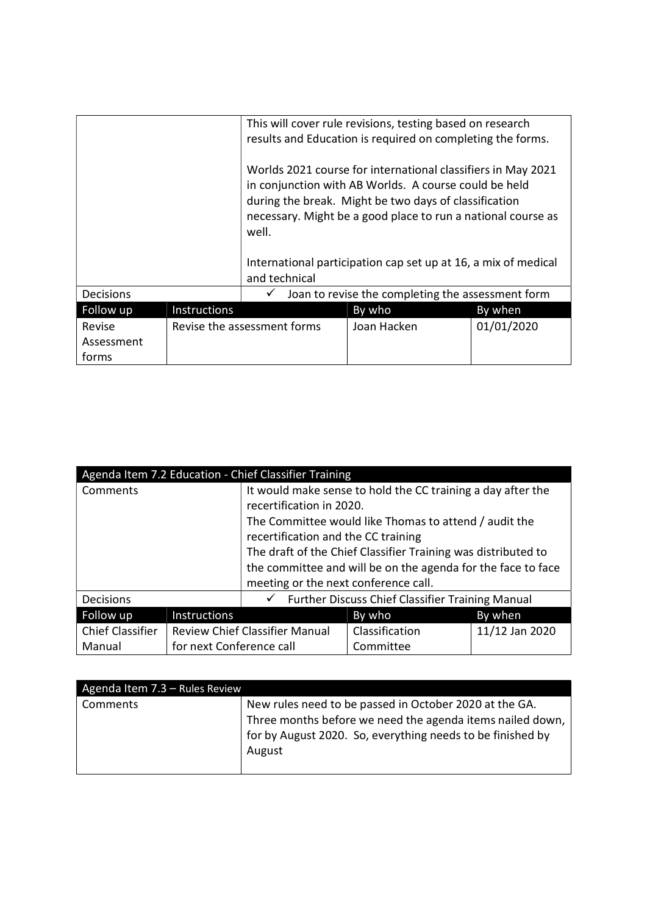|                     |              | This will cover rule revisions, testing based on research<br>results and Education is required on completing the forms.                                                                                                                                                                                                   |             |            |
|---------------------|--------------|---------------------------------------------------------------------------------------------------------------------------------------------------------------------------------------------------------------------------------------------------------------------------------------------------------------------------|-------------|------------|
|                     |              | Worlds 2021 course for international classifiers in May 2021<br>in conjunction with AB Worlds. A course could be held<br>during the break. Might be two days of classification<br>necessary. Might be a good place to run a national course as<br>well.<br>International participation cap set up at 16, a mix of medical |             |            |
|                     |              | and technical                                                                                                                                                                                                                                                                                                             |             |            |
| <b>Decisions</b>    |              | Joan to revise the completing the assessment form                                                                                                                                                                                                                                                                         |             |            |
| Follow up           | Instructions |                                                                                                                                                                                                                                                                                                                           | By who      | By when    |
| Revise              |              | Revise the assessment forms                                                                                                                                                                                                                                                                                               | Joan Hacken | 01/01/2020 |
| Assessment<br>forms |              |                                                                                                                                                                                                                                                                                                                           |             |            |

| Agenda Item 7.2 Education - Chief Classifier Training |                          |                                                              |                                                               |                |
|-------------------------------------------------------|--------------------------|--------------------------------------------------------------|---------------------------------------------------------------|----------------|
| Comments                                              |                          | It would make sense to hold the CC training a day after the  |                                                               |                |
|                                                       |                          | recertification in 2020.                                     |                                                               |                |
|                                                       |                          |                                                              | The Committee would like Thomas to attend / audit the         |                |
|                                                       |                          | recertification and the CC training                          |                                                               |                |
|                                                       |                          |                                                              | The draft of the Chief Classifier Training was distributed to |                |
|                                                       |                          | the committee and will be on the agenda for the face to face |                                                               |                |
|                                                       |                          | meeting or the next conference call.                         |                                                               |                |
| <b>Decisions</b>                                      |                          |                                                              | <b>Further Discuss Chief Classifier Training Manual</b>       |                |
| Follow up                                             | Instructions             |                                                              | By who                                                        | By when        |
| <b>Chief Classifier</b>                               |                          | <b>Review Chief Classifier Manual</b>                        | Classification                                                | 11/12 Jan 2020 |
| Manual                                                | for next Conference call |                                                              | Committee                                                     |                |

| Agenda Item 7.3 - Rules Review |                                                                                                                                                                                             |
|--------------------------------|---------------------------------------------------------------------------------------------------------------------------------------------------------------------------------------------|
| Comments                       | New rules need to be passed in October 2020 at the GA.<br>Three months before we need the agenda items nailed down,<br>for by August 2020. So, everything needs to be finished by<br>August |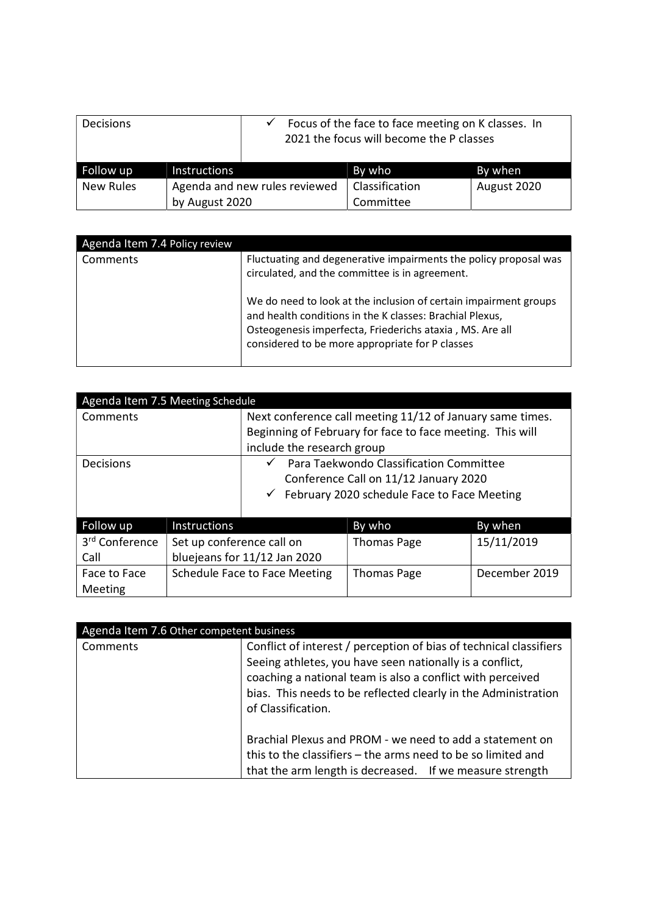| <b>Decisions</b> |                               |  | Focus of the face to face meeting on K classes. In<br>2021 the focus will become the P classes |             |  |
|------------------|-------------------------------|--|------------------------------------------------------------------------------------------------|-------------|--|
| Follow up        | <b>Instructions</b>           |  | By who                                                                                         | By when     |  |
| New Rules        | Agenda and new rules reviewed |  | Classification                                                                                 | August 2020 |  |
|                  | by August 2020                |  | Committee                                                                                      |             |  |

| Agenda Item 7.4 Policy review |                                                                                                                                                                                                                                             |
|-------------------------------|---------------------------------------------------------------------------------------------------------------------------------------------------------------------------------------------------------------------------------------------|
| Comments                      | Fluctuating and degenerative impairments the policy proposal was<br>circulated, and the committee is in agreement.                                                                                                                          |
|                               | We do need to look at the inclusion of certain impairment groups<br>and health conditions in the K classes: Brachial Plexus,<br>Osteogenesis imperfecta, Friederichs ataxia, MS. Are all<br>considered to be more appropriate for P classes |

| Agenda Item 7.5 Meeting Schedule   |                                                           |                                      |                                                                                                                                              |               |
|------------------------------------|-----------------------------------------------------------|--------------------------------------|----------------------------------------------------------------------------------------------------------------------------------------------|---------------|
| Comments                           |                                                           |                                      | Next conference call meeting 11/12 of January same times.<br>Beginning of February for face to face meeting. This will                       |               |
|                                    |                                                           | include the research group           |                                                                                                                                              |               |
| Decisions                          |                                                           | $\checkmark$                         | Para Taekwondo Classification Committee<br>Conference Call on 11/12 January 2020<br>$\checkmark$ February 2020 schedule Face to Face Meeting |               |
| Follow up                          | Instructions                                              |                                      | By who                                                                                                                                       | By when       |
| 3 <sup>rd</sup> Conference<br>Call | Set up conference call on<br>bluejeans for 11/12 Jan 2020 |                                      | <b>Thomas Page</b>                                                                                                                           | 15/11/2019    |
| Face to Face<br>Meeting            |                                                           | <b>Schedule Face to Face Meeting</b> | <b>Thomas Page</b>                                                                                                                           | December 2019 |

| Agenda Item 7.6 Other competent business |                                                                                                                                                                                                                                                                                      |  |
|------------------------------------------|--------------------------------------------------------------------------------------------------------------------------------------------------------------------------------------------------------------------------------------------------------------------------------------|--|
| Comments                                 | Conflict of interest / perception of bias of technical classifiers<br>Seeing athletes, you have seen nationally is a conflict,<br>coaching a national team is also a conflict with perceived<br>bias. This needs to be reflected clearly in the Administration<br>of Classification. |  |
|                                          | Brachial Plexus and PROM - we need to add a statement on<br>this to the classifiers - the arms need to be so limited and<br>that the arm length is decreased. If we measure strength                                                                                                 |  |